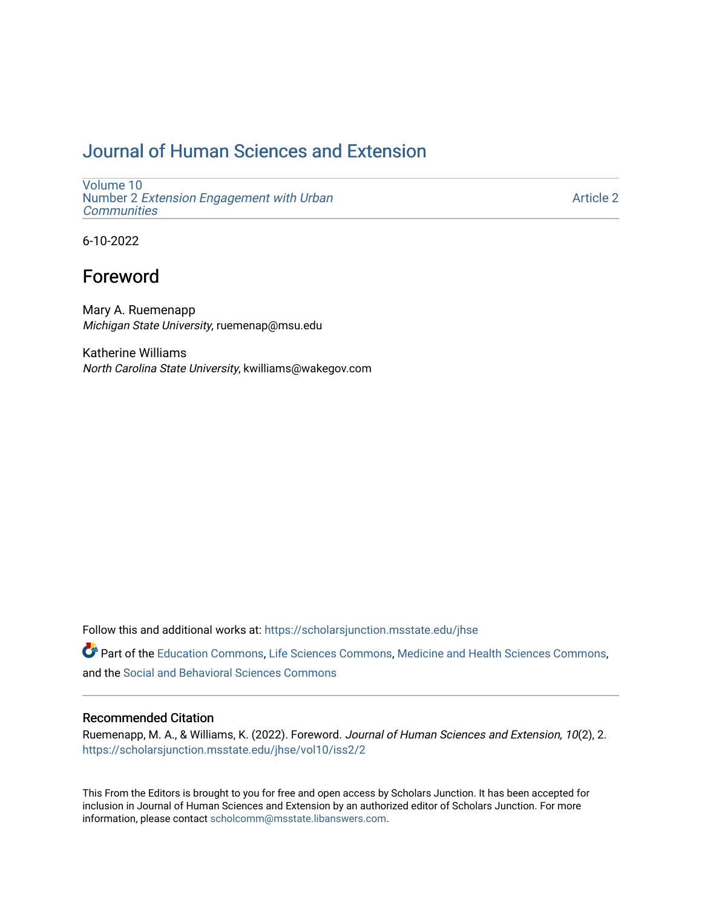# [Journal of Human Sciences and Extension](https://scholarsjunction.msstate.edu/jhse)

[Volume 10](https://scholarsjunction.msstate.edu/jhse/vol10) Number 2 [Extension Engagement with Urban](https://scholarsjunction.msstate.edu/jhse/vol10/iss2) **[Communities](https://scholarsjunction.msstate.edu/jhse/vol10/iss2)** 

[Article 2](https://scholarsjunction.msstate.edu/jhse/vol10/iss2/2) 

6-10-2022

## Foreword

Mary A. Ruemenapp Michigan State University, ruemenap@msu.edu

Katherine Williams North Carolina State University, kwilliams@wakegov.com

Follow this and additional works at: [https://scholarsjunction.msstate.edu/jhse](https://scholarsjunction.msstate.edu/jhse?utm_source=scholarsjunction.msstate.edu%2Fjhse%2Fvol10%2Fiss2%2F2&utm_medium=PDF&utm_campaign=PDFCoverPages)

Part of the [Education Commons](https://network.bepress.com/hgg/discipline/784?utm_source=scholarsjunction.msstate.edu%2Fjhse%2Fvol10%2Fiss2%2F2&utm_medium=PDF&utm_campaign=PDFCoverPages), [Life Sciences Commons](https://network.bepress.com/hgg/discipline/1016?utm_source=scholarsjunction.msstate.edu%2Fjhse%2Fvol10%2Fiss2%2F2&utm_medium=PDF&utm_campaign=PDFCoverPages), [Medicine and Health Sciences Commons](https://network.bepress.com/hgg/discipline/648?utm_source=scholarsjunction.msstate.edu%2Fjhse%2Fvol10%2Fiss2%2F2&utm_medium=PDF&utm_campaign=PDFCoverPages), and the [Social and Behavioral Sciences Commons](https://network.bepress.com/hgg/discipline/316?utm_source=scholarsjunction.msstate.edu%2Fjhse%2Fvol10%2Fiss2%2F2&utm_medium=PDF&utm_campaign=PDFCoverPages) 

#### Recommended Citation

Ruemenapp, M. A., & Williams, K. (2022). Foreword. Journal of Human Sciences and Extension, 10(2), 2. [https://scholarsjunction.msstate.edu/jhse/vol10/iss2/2](https://scholarsjunction.msstate.edu/jhse/vol10/iss2/2?utm_source=scholarsjunction.msstate.edu%2Fjhse%2Fvol10%2Fiss2%2F2&utm_medium=PDF&utm_campaign=PDFCoverPages) 

This From the Editors is brought to you for free and open access by Scholars Junction. It has been accepted for inclusion in Journal of Human Sciences and Extension by an authorized editor of Scholars Junction. For more information, please contact [scholcomm@msstate.libanswers.com](mailto:scholcomm@msstate.libanswers.com).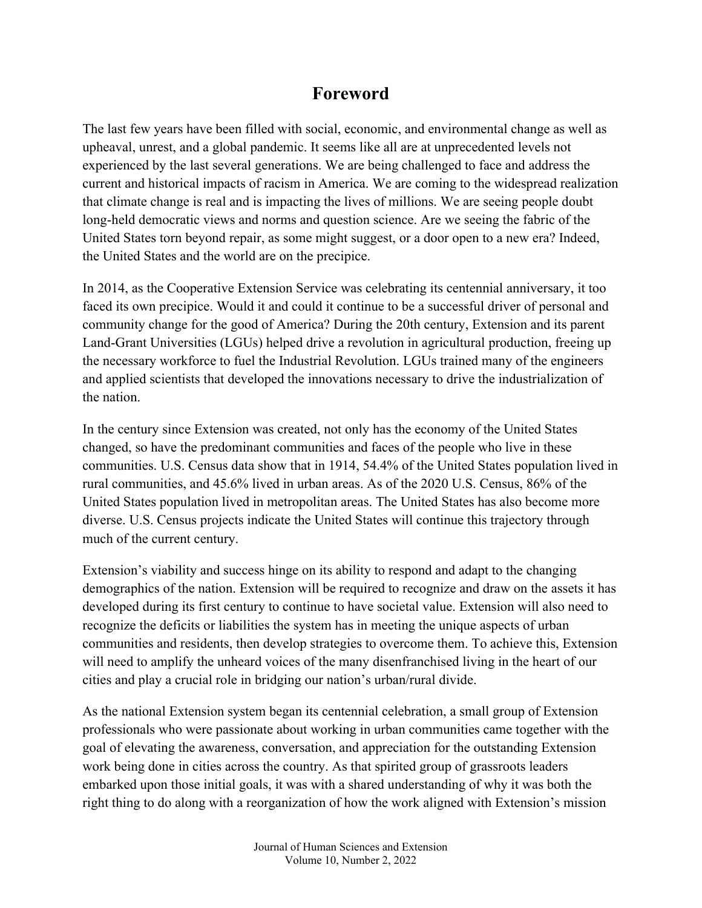## **Foreword**

The last few years have been filled with social, economic, and environmental change as well as upheaval, unrest, and a global pandemic. It seems like all are at unprecedented levels not experienced by the last several generations. We are being challenged to face and address the current and historical impacts of racism in America. We are coming to the widespread realization that climate change is real and is impacting the lives of millions. We are seeing people doubt long-held democratic views and norms and question science. Are we seeing the fabric of the United States torn beyond repair, as some might suggest, or a door open to a new era? Indeed, the United States and the world are on the precipice.

In 2014, as the Cooperative Extension Service was celebrating its centennial anniversary, it too faced its own precipice. Would it and could it continue to be a successful driver of personal and community change for the good of America? During the 20th century, Extension and its parent Land-Grant Universities (LGUs) helped drive a revolution in agricultural production, freeing up the necessary workforce to fuel the Industrial Revolution. LGUs trained many of the engineers and applied scientists that developed the innovations necessary to drive the industrialization of the nation.

In the century since Extension was created, not only has the economy of the United States changed, so have the predominant communities and faces of the people who live in these communities. U.S. Census data show that in 1914, 54.4% of the United States population lived in rural communities, and 45.6% lived in urban areas. As of the 2020 U.S. Census, 86% of the United States population lived in metropolitan areas. The United States has also become more diverse. U.S. Census projects indicate the United States will continue this trajectory through much of the current century.

Extension's viability and success hinge on its ability to respond and adapt to the changing demographics of the nation. Extension will be required to recognize and draw on the assets it has developed during its first century to continue to have societal value. Extension will also need to recognize the deficits or liabilities the system has in meeting the unique aspects of urban communities and residents, then develop strategies to overcome them. To achieve this, Extension will need to amplify the unheard voices of the many disenfranchised living in the heart of our cities and play a crucial role in bridging our nation's urban/rural divide.

As the national Extension system began its centennial celebration, a small group of Extension professionals who were passionate about working in urban communities came together with the goal of elevating the awareness, conversation, and appreciation for the outstanding Extension work being done in cities across the country. As that spirited group of grassroots leaders embarked upon those initial goals, it was with a shared understanding of why it was both the right thing to do along with a reorganization of how the work aligned with Extension's mission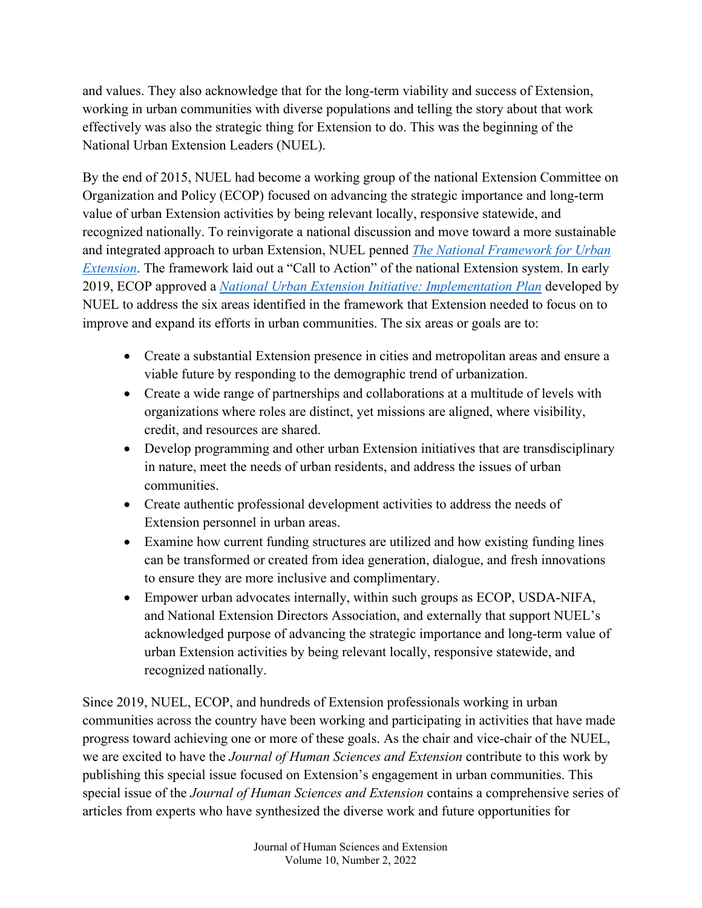and values. They also acknowledge that for the long-term viability and success of Extension, working in urban communities with diverse populations and telling the story about that work effectively was also the strategic thing for Extension to do. This was the beginning of the National Urban Extension Leaders (NUEL).

By the end of 2015, NUEL had become a working group of the national Extension Committee on Organization and Policy (ECOP) focused on advancing the strategic importance and long-term value of urban Extension activities by being relevant locally, responsive statewide, and recognized nationally. To reinvigorate a national discussion and move toward a more sustainable and integrated approach to urban Extension, NUEL penned *[The National Framework for Urban](https://docs.wixstatic.com/ugd/c34867_668cd0780daf4ea18cb1daddad557c72.pdf)  [Extension](https://docs.wixstatic.com/ugd/c34867_668cd0780daf4ea18cb1daddad557c72.pdf)*. The framework laid out a "Call to Action" of the national Extension system. In early 2019, ECOP approved a *[National Urban Extension Initiative: Implementation Plan](https://nuel.extension.org/wp-content/uploads/2019/05/NUEL-Implementation-Plan-Final-April-2019.pdf)* developed by NUEL to address the six areas identified in the framework that Extension needed to focus on to improve and expand its efforts in urban communities. The six areas or goals are to:

- Create a substantial Extension presence in cities and metropolitan areas and ensure a viable future by responding to the demographic trend of urbanization.
- Create a wide range of partnerships and collaborations at a multitude of levels with organizations where roles are distinct, yet missions are aligned, where visibility, credit, and resources are shared.
- Develop programming and other urban Extension initiatives that are transdisciplinary in nature, meet the needs of urban residents, and address the issues of urban communities.
- Create authentic professional development activities to address the needs of Extension personnel in urban areas.
- Examine how current funding structures are utilized and how existing funding lines can be transformed or created from idea generation, dialogue, and fresh innovations to ensure they are more inclusive and complimentary.
- Empower urban advocates internally, within such groups as ECOP, USDA-NIFA, and National Extension Directors Association, and externally that support NUEL's acknowledged purpose of advancing the strategic importance and long-term value of urban Extension activities by being relevant locally, responsive statewide, and recognized nationally.

Since 2019, NUEL, ECOP, and hundreds of Extension professionals working in urban communities across the country have been working and participating in activities that have made progress toward achieving one or more of these goals. As the chair and vice-chair of the NUEL, we are excited to have the *Journal of Human Sciences and Extension* contribute to this work by publishing this special issue focused on Extension's engagement in urban communities. This special issue of the *Journal of Human Sciences and Extension* contains a comprehensive series of articles from experts who have synthesized the diverse work and future opportunities for